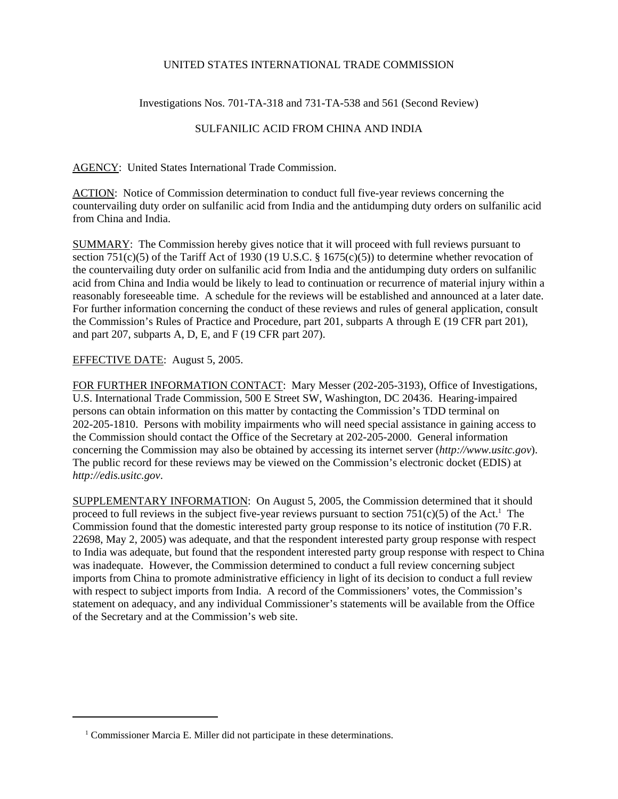## UNITED STATES INTERNATIONAL TRADE COMMISSION

Investigations Nos. 701-TA-318 and 731-TA-538 and 561 (Second Review)

## SULFANILIC ACID FROM CHINA AND INDIA

AGENCY: United States International Trade Commission.

ACTION: Notice of Commission determination to conduct full five-year reviews concerning the countervailing duty order on sulfanilic acid from India and the antidumping duty orders on sulfanilic acid from China and India.

SUMMARY: The Commission hereby gives notice that it will proceed with full reviews pursuant to section 751(c)(5) of the Tariff Act of 1930 (19 U.S.C. § 1675(c)(5)) to determine whether revocation of the countervailing duty order on sulfanilic acid from India and the antidumping duty orders on sulfanilic acid from China and India would be likely to lead to continuation or recurrence of material injury within a reasonably foreseeable time. A schedule for the reviews will be established and announced at a later date. For further information concerning the conduct of these reviews and rules of general application, consult the Commission's Rules of Practice and Procedure, part 201, subparts A through E (19 CFR part 201), and part 207, subparts A, D, E, and F (19 CFR part 207).

## EFFECTIVE DATE: August 5, 2005.

FOR FURTHER INFORMATION CONTACT: Mary Messer (202-205-3193), Office of Investigations, U.S. International Trade Commission, 500 E Street SW, Washington, DC 20436. Hearing-impaired persons can obtain information on this matter by contacting the Commission's TDD terminal on 202-205-1810. Persons with mobility impairments who will need special assistance in gaining access to the Commission should contact the Office of the Secretary at 202-205-2000. General information concerning the Commission may also be obtained by accessing its internet server (*http://www.usitc.gov*). The public record for these reviews may be viewed on the Commission's electronic docket (EDIS) at *http://edis.usitc.gov*.

SUPPLEMENTARY INFORMATION: On August 5, 2005, the Commission determined that it should proceed to full reviews in the subject five-year reviews pursuant to section  $751(c)(5)$  of the Act.<sup>1</sup> The Commission found that the domestic interested party group response to its notice of institution (70 F.R. 22698, May 2, 2005) was adequate, and that the respondent interested party group response with respect to India was adequate, but found that the respondent interested party group response with respect to China was inadequate. However, the Commission determined to conduct a full review concerning subject imports from China to promote administrative efficiency in light of its decision to conduct a full review with respect to subject imports from India. A record of the Commissioners' votes, the Commission's statement on adequacy, and any individual Commissioner's statements will be available from the Office of the Secretary and at the Commission's web site.

<sup>&</sup>lt;sup>1</sup> Commissioner Marcia E. Miller did not participate in these determinations.